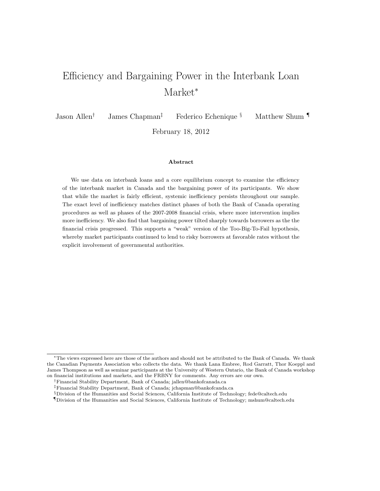# Efficiency and Bargaining Power in the Interbank Loan Market<sup>∗</sup>

Jason Allen† James Chapman‡ Federico Echenique § Matthew Shum ¶

February 18, 2012

#### Abstract

We use data on interbank loans and a core equilibrium concept to examine the efficiency of the interbank market in Canada and the bargaining power of its participants. We show that while the market is fairly efficient, systemic inefficiency persists throughout our sample. The exact level of inefficiency matches distinct phases of both the Bank of Canada operating procedures as well as phases of the 2007-2008 financial crisis, where more intervention implies more inefficiency. We also find that bargaining power tilted sharply towards borrowers as the the financial crisis progressed. This supports a "weak" version of the Too-Big-To-Fail hypothesis, whereby market participants continued to lend to risky borrowers at favorable rates without the explicit involvement of governmental authorities.

<sup>∗</sup>The views expressed here are those of the authors and should not be attributed to the Bank of Canada. We thank the Canadian Payments Association who collects the data. We thank Lana Embree, Rod Garratt, Thor Koeppl and James Thompson as well as seminar participants at the University of Western Ontario, the Bank of Canada workshop on financial institutions and markets, and the FRBNY for comments. Any errors are our own.

<sup>†</sup>Financial Stability Department, Bank of Canada; jallen@bankofcanada.ca

<sup>‡</sup>Financial Stability Department, Bank of Canada; jchapman@bankofcanda.ca

<sup>§</sup>Division of the Humanities and Social Sciences, California Institute of Technology; fede@caltech.edu

<sup>¶</sup>Division of the Humanities and Social Sciences, California Institute of Technology; mshum@caltech.edu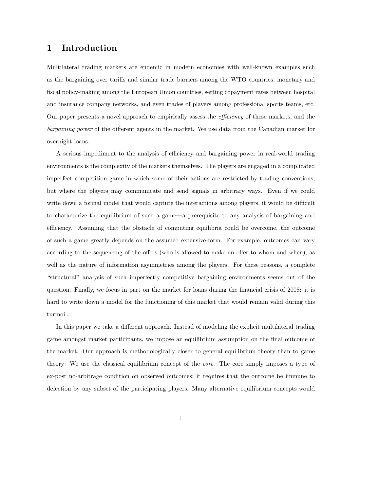# 1 Introduction

Multilateral trading markets are endemic in modern economies with well-known examples such as the bargaining over tariffs and similar trade barriers among the WTO countries, monetary and fiscal policy-making among the European Union countries, setting copayment rates between hospital and insurance company networks, and even trades of players among professional sports teams, etc. Our paper presents a novel approach to empirically assess the efficiency of these markets, and the bargaining power of the different agents in the market. We use data from the Canadian market for overnight loans.

A serious impediment to the analysis of efficiency and bargaining power in real-world trading environments is the complexity of the markets themselves. The players are engaged in a complicated imperfect competition game in which some of their actions are restricted by trading conventions, but where the players may communicate and send signals in arbitrary ways. Even if we could write down a formal model that would capture the interactions among players, it would be difficult to characterize the equilibrium of such a game—a prerequisite to any analysis of bargaining and efficiency. Assuming that the obstacle of computing equilibria could be overcome, the outcome of such a game greatly depends on the assumed extensive-form. For example, outcomes can vary according to the sequencing of the offers (who is allowed to make an offer to whom and when), as well as the nature of information asymmetries among the players. For these reasons, a complete "structural" analysis of such imperfectly competitive bargaining environments seems out of the question. Finally, we focus in part on the market for loans during the financial crisis of 2008: it is hard to write down a model for the functioning of this market that would remain valid during this turmoil.

In this paper we take a different approach. Instead of modeling the explicit multilateral trading game amongst market participants, we impose an equilibrium assumption on the final outcome of the market. Our approach is methodologically closer to general equilibrium theory than to game theory: We use the classical equilibrium concept of the core. The core simply imposes a type of ex-post no-arbitrage condition on observed outcomes; it requires that the outcome be immune to defection by any subset of the participating players. Many alternative equilibrium concepts would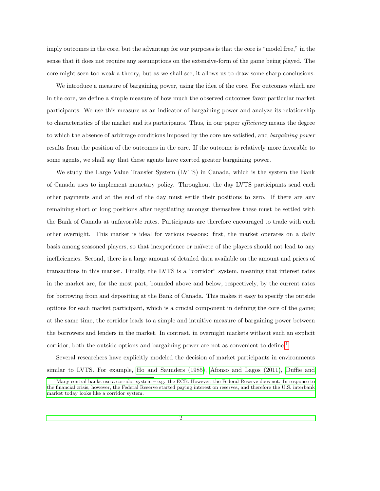imply outcomes in the core, but the advantage for our purposes is that the core is "model free," in the sense that it does not require any assumptions on the extensive-form of the game being played. The core might seen too weak a theory, but as we shall see, it allows us to draw some sharp conclusions.

We introduce a measure of bargaining power, using the idea of the core. For outcomes which are in the core, we define a simple measure of how much the observed outcomes favor particular market participants. We use this measure as an indicator of bargaining power and analyze its relationship to characteristics of the market and its participants. Thus, in our paper *efficiency* means the degree to which the absence of arbitrage conditions imposed by the core are satisfied, and bargaining power results from the position of the outcomes in the core. If the outcome is relatively more favorable to some agents, we shall say that these agents have exerted greater bargaining power.

We study the Large Value Transfer System (LVTS) in Canada, which is the system the Bank of Canada uses to implement monetary policy. Throughout the day LVTS participants send each other payments and at the end of the day must settle their positions to zero. If there are any remaining short or long positions after negotiating amongst themselves these must be settled with the Bank of Canada at unfavorable rates. Participants are therefore encouraged to trade with each other overnight. This market is ideal for various reasons: first, the market operates on a daily basis among seasoned players, so that inexperience or na¨ıvete of the players should not lead to any inefficiencies. Second, there is a large amount of detailed data available on the amount and prices of transactions in this market. Finally, the LVTS is a "corridor" system, meaning that interest rates in the market are, for the most part, bounded above and below, respectively, by the current rates for borrowing from and depositing at the Bank of Canada. This makes it easy to specify the outside options for each market participant, which is a crucial component in defining the core of the game; at the same time, the corridor leads to a simple and intuitive measure of bargaining power between the borrowers and lenders in the market. In contrast, in overnight markets without such an explicit corridor, both the outside options and bargaining power are not as convenient to define.<sup>[1](#page-2-0)</sup>

Several researchers have explicitly modeled the decision of market participants in environments similar to LVTS. For example, [Ho and Saunders \(1985\)](#page-37-0), [Afonso and Lagos \(2011\)](#page-36-0), [Duffie and](#page-36-1)

<span id="page-2-0"></span><sup>&</sup>lt;sup>1</sup>[Many central banks use a corridor system – e.g. the ECB. However, the Federal Reserve does not. In response to](#page-36-1) [the financial crisis, however, the Federal Reserve started paying interest on reserves, and therefore the U.S. interbank](#page-36-1) [market today looks like a corridor system.](#page-36-1)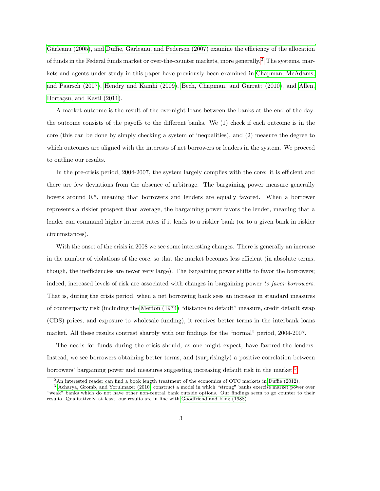Gârleanu (2005), and Duffie, Gârleanu, and Pedersen (2007) examine the efficiency of the allocation of funds in the Federal funds market or over-the-counter markets, more generally.[2](#page-3-0) The systems, markets and agents under study in this paper have previously been examined in [Chapman, McAdams,](#page-36-2) [and Paarsch \(2007\)](#page-36-2), [Hendry and Kamhi \(2009\)](#page-37-2), [Bech, Chapman, and Garratt \(2010\)](#page-36-3), and [Allen,](#page-36-4) Hortaçsu, and Kastl (2011).

A market outcome is the result of the overnight loans between the banks at the end of the day: the outcome consists of the payoffs to the different banks. We (1) check if each outcome is in the core (this can be done by simply checking a system of inequalities), and (2) measure the degree to which outcomes are aligned with the interests of net borrowers or lenders in the system. We proceed to outline our results.

In the pre-crisis period, 2004-2007, the system largely complies with the core: it is efficient and there are few deviations from the absence of arbitrage. The bargaining power measure generally hovers around 0.5, meaning that borrowers and lenders are equally favored. When a borrower represents a riskier prospect than average, the bargaining power favors the lender, meaning that a lender can command higher interest rates if it lends to a riskier bank (or to a given bank in riskier circumstances).

With the onset of the crisis in 2008 we see some interesting changes. There is generally an increase in the number of violations of the core, so that the market becomes less efficient (in absolute terms, though, the inefficiencies are never very large). The bargaining power shifts to favor the borrowers; indeed, increased levels of risk are associated with changes in bargaining power to favor borrowers. That is, during the crisis period, when a net borrowing bank sees an increase in standard measures of counterparty risk (including the [Merton \(1974\)](#page-37-3) "distance to default" measure, credit default swap (CDS) prices, and exposure to wholesale funding), it receives better terms in the interbank loans market. All these results contrast sharply with our findings for the "normal" period, 2004-2007.

The needs for funds during the crisis should, as one might expect, have favored the lenders. Instead, we see borrowers obtaining better terms, and (surprisingly) a positive correlation between borrowers' bargaining power and measures suggesting increasing default risk in the market.[3](#page-3-1)

<span id="page-3-1"></span><span id="page-3-0"></span><sup>2</sup>An interested reader can find a book length treatment of the economics of OTC markets in [Duffie \(2012\)](#page-36-5).

<sup>3</sup> [Acharya, Gromb, and Yorulmazer \(2010\)](#page-36-6) construct a model in which "strong" banks exercise market power over "weak" banks which do not have other non-central bank outside options. Our findings seem to go counter to their results. Qualitatively, at least, our results are in line with [Goodfriend and King \(1988\)](#page-37-4)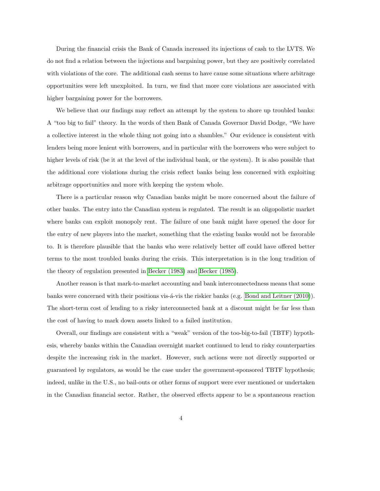During the financial crisis the Bank of Canada increased its injections of cash to the LVTS. We do not find a relation between the injections and bargaining power, but they are positively correlated with violations of the core. The additional cash seems to have cause some situations where arbitrage opportunities were left unexploited. In turn, we find that more core violations are associated with higher bargaining power for the borrowers.

We believe that our findings may reflect an attempt by the system to shore up troubled banks: A "too big to fail" theory. In the words of then Bank of Canada Governor David Dodge, "We have a collective interest in the whole thing not going into a shambles." Our evidence is consistent with lenders being more lenient with borrowers, and in particular with the borrowers who were subject to higher levels of risk (be it at the level of the individual bank, or the system). It is also possible that the additional core violations during the crisis reflect banks being less concerned with exploiting arbitrage opportunities and more with keeping the system whole.

There is a particular reason why Canadian banks might be more concerned about the failure of other banks. The entry into the Canadian system is regulated. The result is an oligopolistic market where banks can exploit monopoly rent. The failure of one bank might have opened the door for the entry of new players into the market, something that the existing banks would not be favorable to. It is therefore plausible that the banks who were relatively better off could have offered better terms to the most troubled banks during the crisis. This interpretation is in the long tradition of the theory of regulation presented in [Becker \(1983\)](#page-36-7) and [Becker \(1985\)](#page-36-8).

Another reason is that mark-to-market accounting and bank interconnectedness means that some banks were concerned with their positions vis-á-vis the riskier banks (e.g. [Bond and Leitner \(2010\)](#page-36-9)). The short-term cost of lending to a risky interconnected bank at a discount might be far less than the cost of having to mark down assets linked to a failed institution.

Overall, our findings are consistent with a "weak" version of the too-big-to-fail (TBTF) hypothesis, whereby banks within the Canadian overnight market continued to lend to risky counterparties despite the increasing risk in the market. However, such actions were not directly supported or guaranteed by regulators, as would be the case under the government-sponsored TBTF hypothesis; indeed, unlike in the U.S., no bail-outs or other forms of support were ever mentioned or undertaken in the Canadian financial sector. Rather, the observed effects appear to be a spontaneous reaction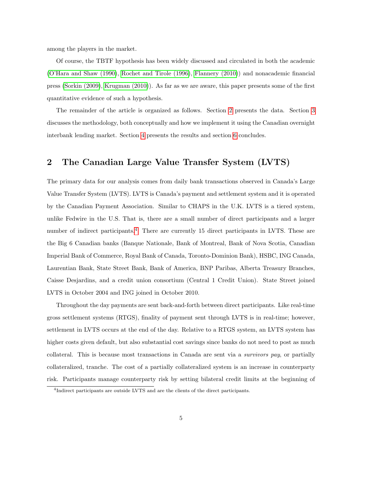among the players in the market.

Of course, the TBTF hypothesis has been widely discussed and circulated in both the academic [\(O'Hara and Shaw \(1990\)](#page-37-5), [Rochet and Tirole \(1996\)](#page-37-6), [Flannery \(2010\)](#page-37-7)) and nonacademic financial press [\(Sorkin \(2009\)](#page-37-8), [Krugman \(2010\)](#page-37-9)). As far as we are aware, this paper presents some of the first quantitative evidence of such a hypothesis.

The remainder of the article is organized as follows. Section [2](#page-5-0) presents the data. Section [3](#page-9-0) discusses the methodology, both conceptually and how we implement it using the Canadian overnight interbank lending market. Section [4](#page-21-0) presents the results and section [6](#page-34-0) concludes.

## <span id="page-5-0"></span>2 The Canadian Large Value Transfer System (LVTS)

The primary data for our analysis comes from daily bank transactions observed in Canada's Large Value Transfer System (LVTS). LVTS is Canada's payment and settlement system and it is operated by the Canadian Payment Association. Similar to CHAPS in the U.K. LVTS is a tiered system, unlike Fedwire in the U.S. That is, there are a small number of direct participants and a larger number of indirect participants.<sup>[4](#page-5-1)</sup> There are currently 15 direct participants in LVTS. These are the Big 6 Canadian banks (Banque Nationale, Bank of Montreal, Bank of Nova Scotia, Canadian Imperial Bank of Commerce, Royal Bank of Canada, Toronto-Dominion Bank), HSBC, ING Canada, Laurentian Bank, State Street Bank, Bank of America, BNP Paribas, Alberta Treasury Branches, Caisse Desjardins, and a credit union consortium (Central 1 Credit Union). State Street joined LVTS in October 2004 and ING joined in October 2010.

Throughout the day payments are sent back-and-forth between direct participants. Like real-time gross settlement systems (RTGS), finality of payment sent through LVTS is in real-time; however, settlement in LVTS occurs at the end of the day. Relative to a RTGS system, an LVTS system has higher costs given default, but also substantial cost savings since banks do not need to post as much collateral. This is because most transactions in Canada are sent via a survivors pay, or partially collateralized, tranche. The cost of a partially collateralized system is an increase in counterparty risk. Participants manage counterparty risk by setting bilateral credit limits at the beginning of

<span id="page-5-1"></span><sup>&</sup>lt;sup>4</sup>Indirect participants are outside LVTS and are the clients of the direct participants.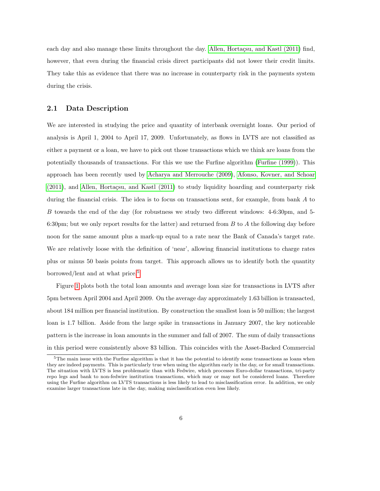each day and also manage these limits throughout the day. Allen, Hortacsu, and Kastl (2011) find, however, that even during the financial crisis direct participants did not lower their credit limits. They take this as evidence that there was no increase in counterparty risk in the payments system during the crisis.

## 2.1 Data Description

We are interested in studying the price and quantity of interbank overnight loans. Our period of analysis is April 1, 2004 to April 17, 2009. Unfortunately, as flows in LVTS are not classified as either a payment or a loan, we have to pick out those transactions which we think are loans from the potentially thousands of transactions. For this we use the Furfine algorithm [\(Furfine \(1999\)](#page-37-10)). This approach has been recently used by [Acharya and Merrouche \(2009\)](#page-36-10), [Afonso, Kovner, and Schoar](#page-36-11)  $(2011)$ , and Allen, Hortaçsu, and Kastl  $(2011)$  to study liquidity hoarding and counterparty risk during the financial crisis. The idea is to focus on transactions sent, for example, from bank A to B towards the end of the day (for robustness we study two different windows: 4-6:30pm, and 5- 6:30pm; but we only report results for the latter) and returned from  $B$  to  $A$  the following day before noon for the same amount plus a mark-up equal to a rate near the Bank of Canada's target rate. We are relatively loose with the definition of 'near', allowing financial institutions to charge rates plus or minus 50 basis points from target. This approach allows us to identify both the quantity borrowed/lent and at what price.<sup>[5](#page-6-0)</sup>

Figure [1](#page-7-0) plots both the total loan amounts and average loan size for transactions in LVTS after 5pm between April 2004 and April 2009. On the average day approximately 1.63 billion is transacted, about 184 million per financial institution. By construction the smallest loan is 50 million; the largest loan is 1.7 billion. Aside from the large spike in transactions in January 2007, the key noticeable pattern is the increase in loan amounts in the summer and fall of 2007. The sum of daily transactions in this period were consistently above \$3 billion. This coincides with the Asset-Backed Commercial

<span id="page-6-0"></span> $5$ The main issue with the Furfine algorithm is that it has the potential to identify some transactions as loans when they are indeed payments. This is particularly true when using the algorithm early in the day, or for small transactions. The situation with LVTS is less problematic than with Fedwire, which processes Euro-dollar transactions, tri-party repo legs and bank to non-fedwire institution transactions, which may or may not be considered loans. Therefore using the Furfine algorithm on LVTS transactions is less likely to lead to misclassification error. In addition, we only examine larger transactions late in the day, making misclassification even less likely.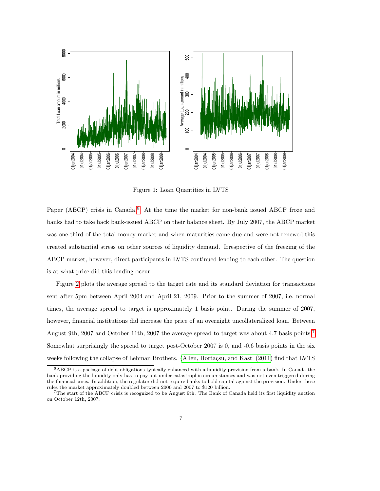

<span id="page-7-0"></span>Figure 1: Loan Quantities in LVTS

Paper (ABCP) crisis in Canada.<sup>[6](#page-7-1)</sup> At the time the market for non-bank issued ABCP froze and banks had to take back bank-issued ABCP on their balance sheet. By July 2007, the ABCP market was one-third of the total money market and when maturities came due and were not renewed this created substantial stress on other sources of liquidity demand. Irrespective of the freezing of the ABCP market, however, direct participants in LVTS continued lending to each other. The question is at what price did this lending occur.

Figure [2](#page-8-0) plots the average spread to the target rate and its standard deviation for transactions sent after 5pm between April 2004 and April 21, 2009. Prior to the summer of 2007, i.e. normal times, the average spread to target is approximately 1 basis point. During the summer of 2007, however, financial institutions did increase the price of an overnight uncollateralized loan. Between August 9th, 2007 and October 11th, 2007 the average spread to target was about 4.7 basis points.[7](#page-7-2) Somewhat surprisingly the spread to target post-October 2007 is 0, and -0.6 basis points in the six weeks following the collapse of Lehman Brothers. (Allen, Hortaçsu, and Kastl (2011) find that LVTS

<span id="page-7-1"></span><sup>6</sup>ABCP is a package of debt obligations typically enhanced with a liquidity provision from a bank. In Canada the bank providing the liquidity only has to pay out under catastrophic circumstances and was not even triggered during the financial crisis. In addition, the regulator did not require banks to hold capital against the provision. Under these rules the market approximately doubled between 2000 and 2007 to \$120 billion.

<span id="page-7-2"></span><sup>7</sup>The start of the ABCP crisis is recognized to be August 9th. The Bank of Canada held its first liquidity auction on October 12th, 2007.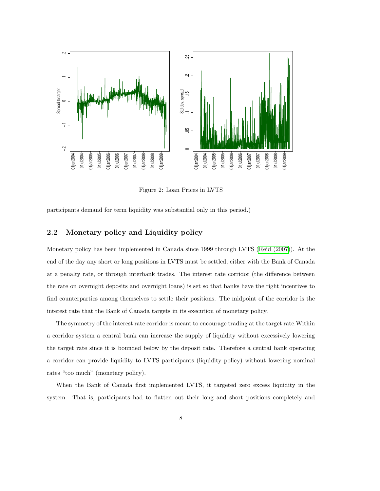

<span id="page-8-0"></span>Figure 2: Loan Prices in LVTS

participants demand for term liquidity was substantial only in this period.)

## <span id="page-8-1"></span>2.2 Monetary policy and Liquidity policy

Monetary policy has been implemented in Canada since 1999 through LVTS [\(Reid \(2007\)](#page-37-11)). At the end of the day any short or long positions in LVTS must be settled, either with the Bank of Canada at a penalty rate, or through interbank trades. The interest rate corridor (the difference between the rate on overnight deposits and overnight loans) is set so that banks have the right incentives to find counterparties among themselves to settle their positions. The midpoint of the corridor is the interest rate that the Bank of Canada targets in its execution of monetary policy.

The symmetry of the interest rate corridor is meant to encourage trading at the target rate.Within a corridor system a central bank can increase the supply of liquidity without excessively lowering the target rate since it is bounded below by the deposit rate. Therefore a central bank operating a corridor can provide liquidity to LVTS participants (liquidity policy) without lowering nominal rates "too much" (monetary policy).

When the Bank of Canada first implemented LVTS, it targeted zero excess liquidity in the system. That is, participants had to flatten out their long and short positions completely and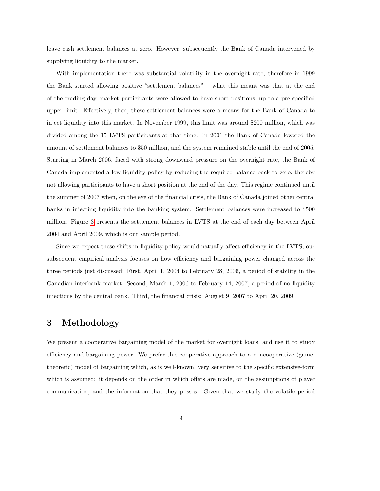leave cash settlement balances at zero. However, subsequently the Bank of Canada intervened by supplying liquidity to the market.

With implementation there was substantial volatility in the overnight rate, therefore in 1999 the Bank started allowing positive "settlement balances" – what this meant was that at the end of the trading day, market participants were allowed to have short positions, up to a pre-specified upper limit. Effectively, then, these settlement balances were a means for the Bank of Canada to inject liquidity into this market. In November 1999, this limit was around \$200 million, which was divided among the 15 LVTS participants at that time. In 2001 the Bank of Canada lowered the amount of settlement balances to \$50 million, and the system remained stable until the end of 2005. Starting in March 2006, faced with strong downward pressure on the overnight rate, the Bank of Canada implemented a low liquidity policy by reducing the required balance back to zero, thereby not allowing participants to have a short position at the end of the day. This regime continued until the summer of 2007 when, on the eve of the financial crisis, the Bank of Canada joined other central banks in injecting liquidity into the banking system. Settlement balances were increased to \$500 million. Figure [3](#page-10-0) presents the settlement balances in LVTS at the end of each day between April 2004 and April 2009, which is our sample period.

Since we expect these shifts in liquidity policy would natually affect efficiency in the LVTS, our subsequent empirical analysis focuses on how efficiency and bargaining power changed across the three periods just discussed: First, April 1, 2004 to February 28, 2006, a period of stability in the Canadian interbank market. Second, March 1, 2006 to February 14, 2007, a period of no liquidity injections by the central bank. Third, the financial crisis: August 9, 2007 to April 20, 2009.

## <span id="page-9-0"></span>3 Methodology

We present a cooperative bargaining model of the market for overnight loans, and use it to study efficiency and bargaining power. We prefer this cooperative approach to a noncooperative (gametheoretic) model of bargaining which, as is well-known, very sensitive to the specific extensive-form which is assumed: it depends on the order in which offers are made, on the assumptions of player communication, and the information that they posses. Given that we study the volatile period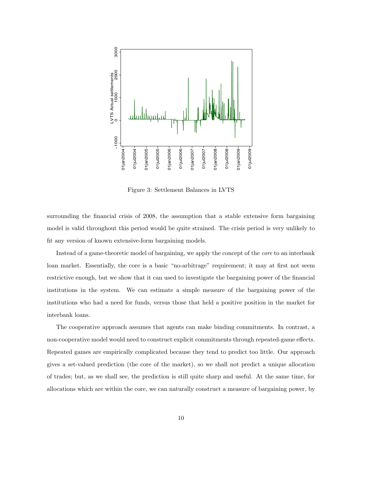

<span id="page-10-0"></span>Figure 3: Settlement Balances in LVTS

surrounding the financial crisis of 2008, the assumption that a stable extensive form bargaining model is valid throughout this period would be quite strained. The crisis period is very unlikely to fit any version of known extensive-form bargaining models.

Instead of a game-theoretic model of bargaining, we apply the concept of the core to an interbank loan market. Essentially, the core is a basic "no-arbitrage" requirement; it may at first not seem restrictive enough, but we show that it can used to investigate the bargaining power of the financial institutions in the system. We can estimate a simple measure of the bargaining power of the institutions who had a need for funds, versus those that held a positive position in the market for interbank loans.

The cooperative approach assumes that agents can make binding commitments. In contrast, a non-cooperative model would need to construct explicit commitments through repeated-game effects. Repeated games are empirically complicated because they tend to predict too little. Our approach gives a set-valued prediction (the core of the market), so we shall not predict a unique allocation of trades; but, as we shall see, the prediction is still quite sharp and useful. At the same time, for allocations which are within the core, we can naturally construct a measure of bargaining power, by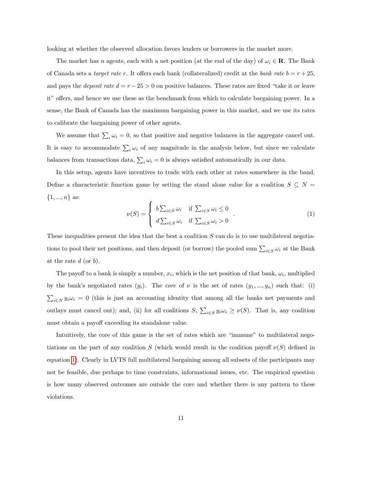looking at whether the observed allocation favors lenders or borrowers in the market more.

The market has n agents, each with a net position (at the end of the day) of  $\omega_i \in \mathbf{R}$ . The Bank of Canada sets a *target rate r*. It offers each bank (collateralized) credit at the *bank rate*  $b = r + 25$ , and pays the *deposit rate d* =  $r - 25 > 0$  on positive balances. These rates are fixed "take it or leave it" offers, and hence we use these as the benchmark from which to calculate bargaining power. In a sense, the Bank of Canada has the maximum bargaining power in this market, and we use its rates to calibrate the bargaining power of other agents.

We assume that  $\sum_i \omega_i = 0$ , so that positive and negative balances in the aggregate cancel out. It is easy to accommodate  $\sum_i \omega_i$  of any magnitude in the analysis below, but since we calculate balances from transactions data,  $\sum_i \omega_i = 0$  is always satisfied automatically in our data.

In this setup, agents have incentives to trade with each other at rates somewhere in the band. Define a characteristic function game by setting the stand alone value for a coalition  $S \subseteq N =$  $\{1, ..., n\}$  as:

<span id="page-11-0"></span>
$$
\nu(S) = \begin{cases} b \sum_{i \in S} \omega_i & \text{if } \sum_{i \in S} \omega_i \le 0 \\ d \sum_{i \in S} \omega_i & \text{if } \sum_{i \in S} \omega_i > 0 \end{cases}
$$
 (1)

These inequalities present the idea that the best a coalition  $S$  can do is to use multilateral negotiations to pool their net positions, and then deposit (or borrow) the pooled sum  $\sum_{i\in S}\omega_i$  at the Bank at the rate  $d$  (or  $b$ ).

The payoff to a bank is simply a number,  $x_i$ , which is the net position of that bank,  $\omega_i$ , multiplied by the bank's negotiated rates  $(y_i)$ . The *core* of  $\nu$  is the set of rates  $(y_1, ..., y_n)$  such that: (i)  $\sum_{i\in N} y_i\omega_i = 0$  (this is just an accounting identity that among all the banks net payments and outlays must cancel out); and, (ii) for all coalitions  $S$ ,  $\sum_{i \in S} y_i \omega_i \geq \nu(S)$ . That is, any coalition must obtain a payoff exceeding its standalone value.

Intuitively, the core of this game is the set of rates which are "immune" to multilateral negotiations on the part of any coalition S (which would result in the coalition payoff  $\nu(S)$  defined in equation [1\)](#page-11-0). Clearly in LVTS full multilateral bargaining among all subsets of the participants may not be feasible, due perhaps to time constraints, informational issues, etc. The empirical question is how many observed outcomes are outside the core and whether there is any pattern to these violations.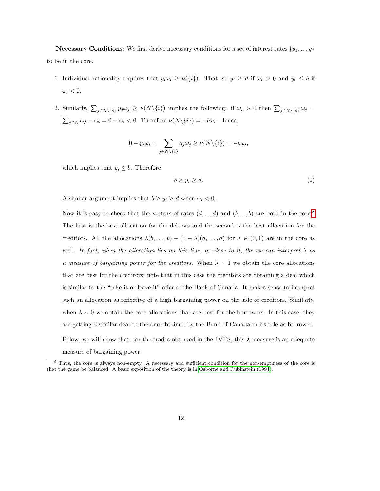**Necessary Conditions:** We first derive necessary conditions for a set of interest rates  $\{y_1, ..., y\}$ to be in the core.

- 1. Individual rationality requires that  $y_i \omega_i \ge \nu(\{i\})$ . That is:  $y_i \ge d$  if  $\omega_i > 0$  and  $y_i \le b$  if  $\omega_i < 0.$
- 2. Similarly,  $\sum_{j \in N \setminus \{i\}} y_j \omega_j \ge \nu(N \setminus \{i\})$  implies the following: if  $\omega_i > 0$  then  $\sum_{j \in N \setminus \{i\}} \omega_j =$  $\sum_{j \in N} \omega_j - \omega_i = 0 - \omega_i < 0$ . Therefore  $\nu(N\setminus\{i\}) = -b\omega_i$ . Hence,

$$
0 - y_i \omega_i = \sum_{j \in N \setminus \{i\}} y_j \omega_j \ge \nu(N \setminus \{i\}) = -b \omega_i,
$$

which implies that  $y_i \leq b$ . Therefore

measure of bargaining power.

$$
b \ge y_i \ge d. \tag{2}
$$

A similar argument implies that  $b \geq y_i \geq d$  when  $\omega_i < 0$ .

Now it is easy to check that the vectors of rates  $(d, ..., d)$  and  $(b, ..., b)$  are both in the core.<sup>[8](#page-12-0)</sup> The first is the best allocation for the debtors and the second is the best allocation for the creditors. All the allocations  $\lambda(b, \ldots, b) + (1 - \lambda)(d, \ldots, d)$  for  $\lambda \in (0, 1)$  are in the core as well. In fact, when the allocation lies on this line, or close to it, the we can interpret  $\lambda$  as a measure of bargaining power for the creditors. When  $\lambda \sim 1$  we obtain the core allocations that are best for the creditors; note that in this case the creditors are obtaining a deal which is similar to the "take it or leave it" offer of the Bank of Canada. It makes sense to interpret such an allocation as reflective of a high bargaining power on the side of creditors. Similarly, when  $\lambda \sim 0$  we obtain the core allocations that are best for the borrowers. In this case, they are getting a similar deal to the one obtained by the Bank of Canada in its role as borrower. Below, we will show that, for the trades observed in the LVTS, this  $\lambda$  measure is an adequate

<span id="page-12-0"></span><sup>8</sup> Thus, the core is always non-empty. A necessary and sufficient condition for the non-emptiness of the core is that the game be balanced. A basic exposition of the theory is in [Osborne and Rubinstein \(1994\)](#page-37-12).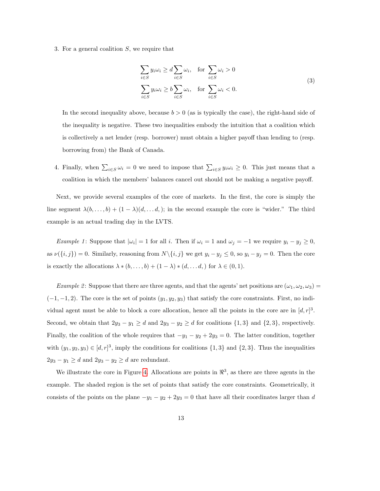<span id="page-13-0"></span>3. For a general coalition S, we require that

$$
\sum_{i \in S} y_i \omega_i \ge d \sum_{i \in S} \omega_i, \quad \text{for } \sum_{i \in S} \omega_i > 0
$$
\n
$$
\sum_{i \in S} y_i \omega_i \ge b \sum_{i \in S} \omega_i, \quad \text{for } \sum_{i \in S} \omega_i < 0.
$$
\n(3)

In the second inequality above, because  $b > 0$  (as is typically the case), the right-hand side of the inequality is negative. These two inequalities embody the intuition that a coalition which is collectively a net lender (resp. borrower) must obtain a higher payoff than lending to (resp. borrowing from) the Bank of Canada.

4. Finally, when  $\sum_{i\in S}\omega_i=0$  we need to impose that  $\sum_{i\in S}y_i\omega_i\geq 0$ . This just means that a coalition in which the members' balances cancel out should not be making a negative payoff.

Next, we provide several examples of the core of markets. In the first, the core is simply the line segment  $\lambda(b, \ldots, b) + (1 - \lambda)(d, \ldots, d)$ ; in the second example the core is "wider." The third example is an actual trading day in the LVTS.

*Example 1*: Suppose that  $|\omega_i| = 1$  for all i. Then if  $\omega_i = 1$  and  $\omega_j = -1$  we require  $y_i - y_j \ge 0$ , as  $\nu(\{i, j\}) = 0$ . Similarly, reasoning from  $N\setminus\{i, j\}$  we get  $y_i - y_j \leq 0$ , so  $y_i - y_j = 0$ . Then the core is exactly the allocations  $\lambda * (b, \ldots, b) + (1 - \lambda) * (d, \ldots, d)$  for  $\lambda \in (0, 1)$ .

*Example 2*: Suppose that there are three agents, and that the agents' net positions are  $(\omega_1, \omega_2, \omega_3)$  $(-1, -1, 2)$ . The core is the set of points  $(y_1, y_2, y_3)$  that satisfy the core constraints. First, no individual agent must be able to block a core allocation, hence all the points in the core are in  $[d, r]^3$ . Second, we obtain that  $2y_3 - y_1 \ge d$  and  $2y_3 - y_2 \ge d$  for coalitions  $\{1,3\}$  and  $\{2,3\}$ , respectively. Finally, the coalition of the whole requires that  $-y_1 - y_2 + 2y_3 = 0$ . The latter condition, together with  $(y_1, y_2, y_3) \in [d, r]^3$ , imply the conditions for coalitions  $\{1, 3\}$  and  $\{2, 3\}$ . Thus the inequalities  $2y_3 - y_1 \ge d$  and  $2y_3 - y_2 \ge d$  are redundant.

We illustrate the core in Figure [4.](#page-14-0) Allocations are points in  $\mathbb{R}^3$ , as there are three agents in the example. The shaded region is the set of points that satisfy the core constraints. Geometrically, it consists of the points on the plane  $-y_1 - y_2 + 2y_3 = 0$  that have all their coordinates larger than d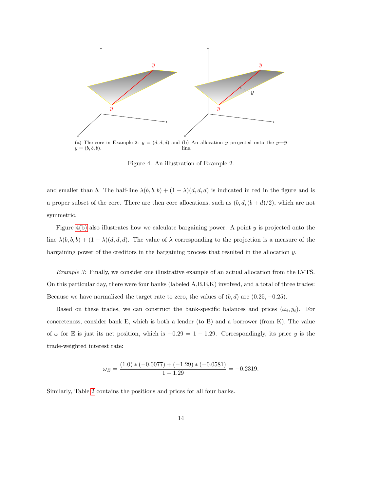

<span id="page-14-1"></span><span id="page-14-0"></span>Figure 4: An illustration of Example 2.

and smaller than b. The half-line  $\lambda(b, b, b) + (1 - \lambda)(d, d, d)$  is indicated in red in the figure and is a proper subset of the core. There are then core allocations, such as  $(b, d, (b + d)/2)$ , which are not symmetric.

Figure  $4(b)$  also illustrates how we calculate bargaining power. A point  $y$  is projected onto the line  $\lambda(b, b, b) + (1 - \lambda)(d, d, d)$ . The value of  $\lambda$  corresponding to the projection is a measure of the bargaining power of the creditors in the bargaining process that resulted in the allocation y.

Example 3: Finally, we consider one illustrative example of an actual allocation from the LVTS. On this particular day, there were four banks (labeled A,B,E,K) involved, and a total of three trades: Because we have normalized the target rate to zero, the values of  $(b, d)$  are  $(0.25, -0.25)$ .

Based on these trades, we can construct the bank-specific balances and prices  $(\omega_i, y_i)$ . For concreteness, consider bank E, which is both a lender (to B) and a borrower (from K). The value of  $\omega$  for E is just its net position, which is  $-0.29 = 1 - 1.29$ . Correspondingly, its price y is the trade-weighted interest rate:

$$
\omega_E = \frac{(1.0) * (-0.0077) + (-1.29) * (-0.0581)}{1 - 1.29} = -0.2319.
$$

Similarly, Table [2](#page-15-0) contains the positions and prices for all four banks.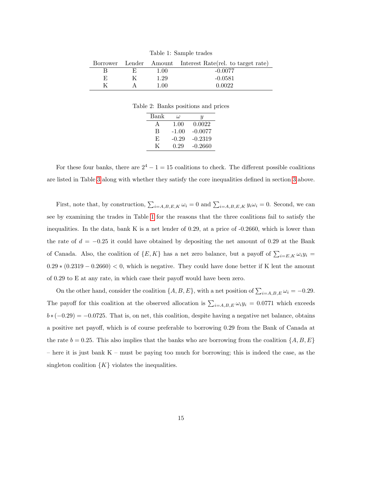<span id="page-15-1"></span>Table 1: Sample trades

|    |      | Borrower Lender Amount Interest Rate (rel. to target rate) |
|----|------|------------------------------------------------------------|
|    | 1.00 | $-0.0077$                                                  |
| F. | 1.29 | $-0.0581$                                                  |
| K  | 1.00 | 0.0022                                                     |

Table 2: Banks positions and prices

<span id="page-15-0"></span>

| Bank | $\iota$ | U         |
|------|---------|-----------|
| A    | 1.00    | 0.0022    |
| B    | $-1.00$ | $-0.0077$ |
| E    | $-0.29$ | $-0.2319$ |
| K    | 0.29    | $-0.2660$ |

For these four banks, there are  $2^4 - 1 = 15$  coalitions to check. The different possible coalitions are listed in Table [3](#page-16-0) along with whether they satisfy the core inequalities defined in section [3](#page-9-0) above.

First, note that, by construction,  $\sum_{i=A,B,E,K} \omega_i = 0$  and  $\sum_{i=A,B,E,K} y_i \omega_i = 0$ . Second, we can see by examining the trades in Table [1](#page-15-1) for the reasons that the three coalitions fail to satisfy the inequalities. In the data, bank K is a net lender of 0.29, at a price of -0.2660, which is lower than the rate of  $d = -0.25$  it could have obtained by depositing the net amount of 0.29 at the Bank of Canada. Also, the coalition of  $\{E, K\}$  has a net zero balance, but a payoff of  $\sum_{i=E,K} \omega_i y_i =$  $0.29 * (0.2319 - 0.2660) < 0$ , which is negative. They could have done better if K lent the amount of 0.29 to E at any rate, in which case their payoff would have been zero.

On the other hand, consider the coalition  $\{A, B, E\}$ , with a net position of  $\sum_{i=A, B, E} \omega_i = -0.29$ . The payoff for this coalition at the observed allocation is  $\sum_{i=A,B,E} \omega_i y_i = 0.0771$  which exceeds  $b*(-0.29) = -0.0725$ . That is, on net, this coalition, despite having a negative net balance, obtains a positive net payoff, which is of course preferable to borrowing 0.29 from the Bank of Canada at the rate  $b = 0.25$ . This also implies that the banks who are borrowing from the coalition  $\{A, B, E\}$ – here it is just bank  $K$  – must be paying too much for borrowing; this is indeed the case, as the singleton coalition  $\{K\}$  violates the inequalities.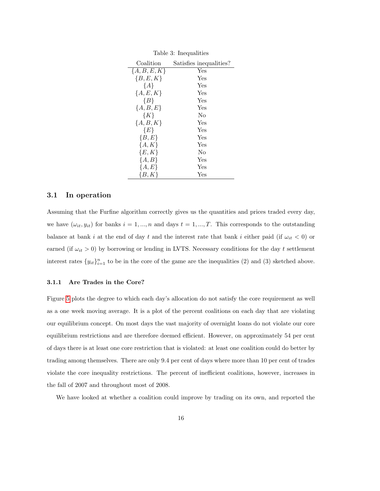|                | rapic o, moduancio      |
|----------------|-------------------------|
| Coalition      | Satisfies inequalities? |
| ${A, B, E, K}$ | Yes                     |
| ${B, E, K}$    | Yes                     |
| ${A}$          | Yes                     |
| ${A, E, K}$    | Yes                     |
| ${B}$          | Yes                     |
| ${A, B, E}$    | Yes                     |
| $\{K\}$        | No                      |
| $\{A, B, K\}$  | Yes                     |
| ${E}$          | Yes                     |
| ${B, E}$       | Yes                     |
| $\{A,K\}$      | Yes                     |
| $\{E,K\}$      | No                      |
| ${A, B}$       | Yes                     |
| ${A, E}$       | Yes                     |
| $\{B,K\}$      | Yes                     |

<span id="page-16-0"></span>Table  $3$  Inequalities

## 3.1 In operation

Assuming that the Furfine algorithm correctly gives us the quantities and prices traded every day, we have  $(\omega_{it}, y_{it})$  for banks  $i = 1, ..., n$  and days  $t = 1, ..., T$ . This corresponds to the outstanding balance at bank i at the end of day t and the interest rate that bank i either paid (if  $\omega_{it}$  < 0) or earned (if  $\omega_{it} > 0$ ) by borrowing or lending in LVTS. Necessary conditions for the day t settlement interest rates  $\{y_{it}\}_{i=1}^n$  to be in the core of the game are the inequalities (2) and (3) sketched above.

#### <span id="page-16-1"></span>3.1.1 Are Trades in the Core?

Figure [5](#page-17-0) plots the degree to which each day's allocation do not satisfy the core requirement as well as a one week moving average. It is a plot of the percent coalitions on each day that are violating our equilibrium concept. On most days the vast majority of overnight loans do not violate our core equilibrium restrictions and are therefore deemed efficient. However, on approximately 54 per cent of days there is at least one core restriction that is violated: at least one coalition could do better by trading among themselves. There are only 9.4 per cent of days where more than 10 per cent of trades violate the core inequality restrictions. The percent of inefficient coalitions, however, increases in the fall of 2007 and throughout most of 2008.

We have looked at whether a coalition could improve by trading on its own, and reported the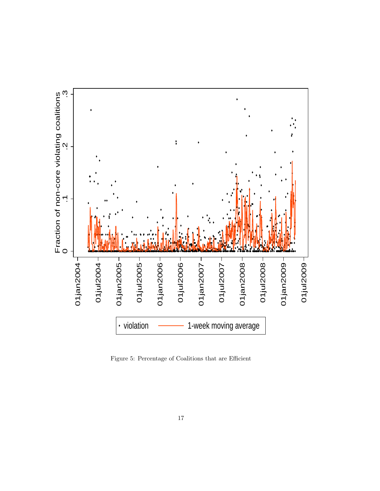

<span id="page-17-0"></span>Figure 5: Percentage of Coalitions that are Efficient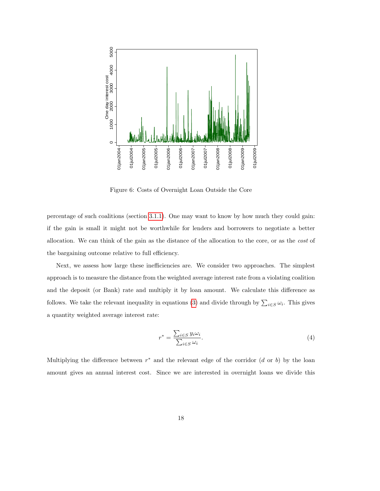

<span id="page-18-0"></span>Figure 6: Costs of Overnight Loan Outside the Core

percentage of such coalitions (section [3.1.1\)](#page-16-1). One may want to know by how much they could gain: if the gain is small it might not be worthwhile for lenders and borrowers to negotiate a better allocation. We can think of the gain as the distance of the allocation to the core, or as the cost of the bargaining outcome relative to full efficiency.

Next, we assess how large these inefficiencies are. We consider two approaches. The simplest approach is to measure the distance from the weighted average interest rate from a violating coalition and the deposit (or Bank) rate and multiply it by loan amount. We calculate this difference as follows. We take the relevant inequality in equations [\(3\)](#page-13-0) and divide through by  $\sum_{i\in S}\omega_i$ . This gives a quantity weighted average interest rate:

$$
r^* = \frac{\sum_{i \in S} y_i \omega_i}{\sum_{i \in S} \omega_i}.
$$
\n<sup>(4)</sup>

Multiplying the difference between  $r^*$  and the relevant edge of the corridor  $(d \text{ or } b)$  by the loan amount gives an annual interest cost. Since we are interested in overnight loans we divide this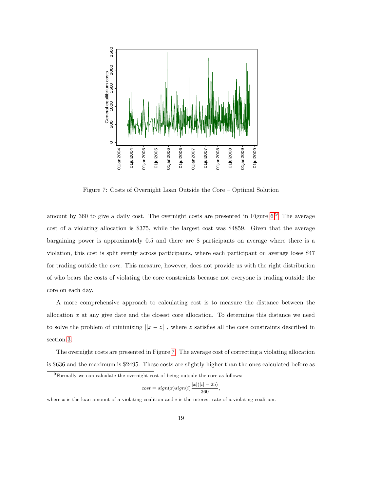

<span id="page-19-1"></span>Figure 7: Costs of Overnight Loan Outside the Core – Optimal Solution

amount by 360 to give a daily cost. The overnight costs are presented in Figure [6.](#page-18-0)[9](#page-19-0) The average cost of a violating allocation is \$375, while the largest cost was \$4859. Given that the average bargaining power is approximately 0.5 and there are 8 participants on average where there is a violation, this cost is split evenly across participants, where each participant on average loses \$47 for trading outside the core. This measure, however, does not provide us with the right distribution of who bears the costs of violating the core constraints because not everyone is trading outside the core on each day.

A more comprehensive approach to calculating cost is to measure the distance between the allocation x at any give date and the closest core allocation. To determine this distance we need to solve the problem of minimizing  $||x - z||$ , where z satisfies all the core constraints described in section [3.](#page-9-0)

The overnight costs are presented in Figure [7.](#page-19-1) The average cost of correcting a violating allocation is \$636 and the maximum is \$2495. These costs are slightly higher than the ones calculated before as

$$
cost = sign(x)sign(i)\frac{|x|(|i| - 25)}{360}
$$

,

where  $x$  is the loan amount of a violating coalition and  $i$  is the interest rate of a violating coalition.

<span id="page-19-0"></span><sup>9</sup>Formally we can calculate the overnight cost of being outside the core as follows: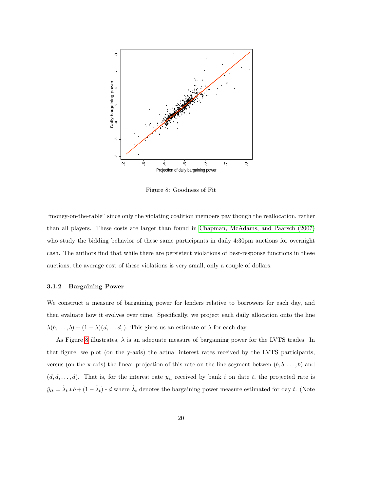

<span id="page-20-0"></span>Figure 8: Goodness of Fit

"money-on-the-table" since only the violating coalition members pay though the reallocation, rather than all players. These costs are larger than found in [Chapman, McAdams, and Paarsch \(2007\)](#page-36-2) who study the bidding behavior of these same participants in daily 4:30pm auctions for overnight cash. The authors find that while there are persistent violations of best-response functions in these auctions, the average cost of these violations is very small, only a couple of dollars.

#### 3.1.2 Bargaining Power

We construct a measure of bargaining power for lenders relative to borrowers for each day, and then evaluate how it evolves over time. Specifically, we project each daily allocation onto the line  $\lambda(b, \ldots, b) + (1 - \lambda)(d, \ldots, d)$ . This gives us an estimate of  $\lambda$  for each day.

As Figure [8](#page-20-0) illustrates,  $\lambda$  is an adequate measure of bargaining power for the LVTS trades. In that figure, we plot (on the y-axis) the actual interest rates received by the LVTS participants, versus (on the x-axis) the linear projection of this rate on the line segment betwen  $(b, b, \ldots, b)$  and  $(d, d, \ldots, d)$ . That is, for the interest rate  $y_{it}$  received by bank i on date t, the projected rate is  $\hat{y}_{it} = \hat{\lambda}_t * b + (1 - \hat{\lambda}_t) * d$  where  $\hat{\lambda}_t$  denotes the bargaining power measure estimated for day t. (Note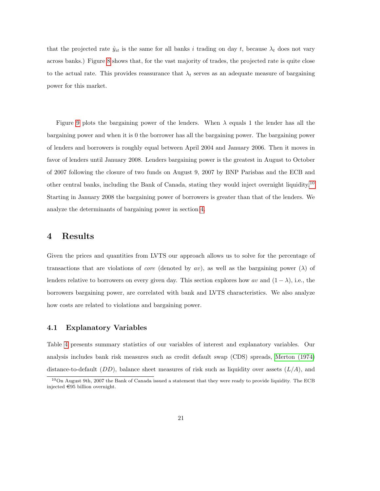that the projected rate  $\hat{y}_{it}$  is the same for all banks i trading on day t, because  $\lambda_t$  does not vary across banks.) Figure [8](#page-20-0) shows that, for the vast majority of trades, the projected rate is quite close to the actual rate. This provides reassurance that  $\lambda_t$  serves as an adequate measure of bargaining power for this market.

Figure [9](#page-22-0) plots the bargaining power of the lenders. When  $\lambda$  equals 1 the lender has all the bargaining power and when it is 0 the borrower has all the bargaining power. The bargaining power of lenders and borrowers is roughly equal between April 2004 and January 2006. Then it moves in favor of lenders until January 2008. Lenders bargaining power is the greatest in August to October of 2007 following the closure of two funds on August 9, 2007 by BNP Parisbas and the ECB and other central banks, including the Bank of Canada, stating they would inject overnight liquidity.[10](#page-21-1) Starting in January 2008 the bargaining power of borrowers is greater than that of the lenders. We analyze the determinants of bargaining power in section [4.](#page-21-0)

## <span id="page-21-0"></span>4 Results

Given the prices and quantities from LVTS our approach allows us to solve for the percentage of transactions that are violations of *core* (denoted by av), as well as the bargaining power ( $\lambda$ ) of lenders relative to borrowers on every given day. This section explores how av and  $(1 - \lambda)$ , i.e., the borrowers bargaining power, are correlated with bank and LVTS characteristics. We also analyze how costs are related to violations and bargaining power.

## 4.1 Explanatory Variables

Table [4](#page-23-0) presents summary statistics of our variables of interest and explanatory variables. Our analysis includes bank risk measures such as credit default swap (CDS) spreads, [Merton \(1974\)](#page-37-3) distance-to-default  $(DD)$ , balance sheet measures of risk such as liquidity over assets  $(L/A)$ , and

<span id="page-21-1"></span><sup>10</sup>On August 9th, 2007 the Bank of Canada issued a statement that they were ready to provide liquidity. The ECB injected  $\in$ 95 billion overnight.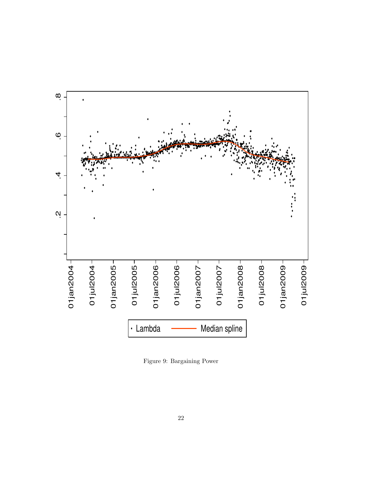

<span id="page-22-0"></span>Figure 9: Bargaining Power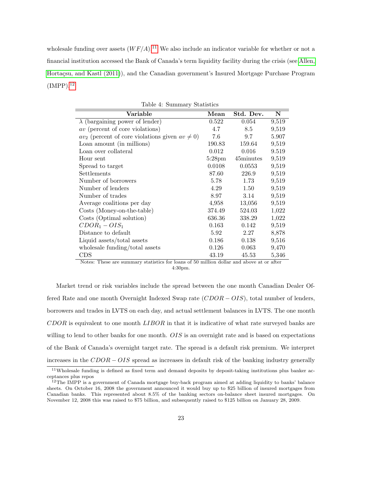wholesale funding over assets  $(WF/A)^{11}$  $(WF/A)^{11}$  $(WF/A)^{11}$ . We also include an indicator variable for whether or not a financial institution accessed the Bank of Canada's term liquidity facility during the crisis (see [Allen,](#page-36-4) Hortacsu, and Kastl (2011)), and the Canadian government's Insured Mortgage Purchase Program  $(IMPP).<sup>12</sup>$  $(IMPP).<sup>12</sup>$  $(IMPP).<sup>12</sup>$ 

| Variable                                               | $\bold{Mean}$    | Std. Dev. | N     |
|--------------------------------------------------------|------------------|-----------|-------|
| $\lambda$ (bargaining power of lender)                 | 0.522            | 0.054     | 9,519 |
| <i>av</i> (percent of core violations)                 | 4.7              | 8.5       | 9,519 |
| $av_2$ (percent of core violations given $av \neq 0$ ) | 7.6              | 9.7       | 5.907 |
| Loan amount (in millions)                              | 190.83           | 159.64    | 9,519 |
| Loan over collateral                                   | 0.012            | 0.016     | 9.519 |
| Hour sent                                              | $5:28 \text{pm}$ | 45minutes | 9,519 |
| Spread to target                                       | 0.0108           | 0.0553    | 9,519 |
| Settlements                                            | 87.60            | 226.9     | 9,519 |
| Number of borrowers                                    | 5.78             | 1.73      | 9,519 |
| Number of lenders                                      | 4.29             | 1.50      | 9,519 |
| Number of trades                                       | 8.97             | 3.14      | 9,519 |
| Average coalitions per day                             | 4,958            | 13,056    | 9,519 |
| Costs (Money-on-the-table)                             | 374.49           | 524.03    | 1,022 |
| Costs (Optimal solution)                               | 636.36           | 338.29    | 1,022 |
| $CDOR_1 - OIS_1$                                       | 0.163            | 0.142     | 9,519 |
| Distance to default                                    | 5.92             | 2.27      | 8,878 |
| Liquid assets/total assets                             | 0.186            | 0.138     | 9,516 |
| wholesale funding/total assets                         | 0.126            | 0.063     | 9,470 |
| CDS                                                    | 43.19            | 45.53     | 5,346 |

<span id="page-23-0"></span>Table 4: Summary Statistics

Notes: These are summary statistics for loans of 50 million dollar and above at or after 4:30pm.

Market trend or risk variables include the spread between the one month Canadian Dealer Offered Rate and one month Overnight Indexed Swap rate  $(CDOR - OIS)$ , total number of lenders, borrowers and trades in LVTS on each day, and actual settlement balances in LVTS. The one month  $CDOR$  is equivalent to one month  $LIBOR$  in that it is indicative of what rate surveyed banks are willing to lend to other banks for one month. OIS is an overnight rate and is based on expectations of the Bank of Canada's overnight target rate. The spread is a default risk premium. We interpret increases in the  $CDOR - OIS$  spread as increases in default risk of the banking industry generally

<span id="page-23-1"></span><sup>&</sup>lt;sup>11</sup>Wholesale funding is defined as fixed term and demand deposits by deposit-taking institutions plus banker acceptances plus repos

<span id="page-23-2"></span><sup>&</sup>lt;sup>12</sup>The IMPP is a government of Canada mortgage buy-back program aimed at adding liquidity to banks' balance sheets. On October 16, 2008 the government announced it would buy up to \$25 billion of insured mortgages from Canadian banks. This represented about 8.5% of the banking sectors on-balance sheet insured mortgages. On November 12, 2008 this was raised to \$75 billion, and subsequently raised to \$125 billion on January 28, 2009.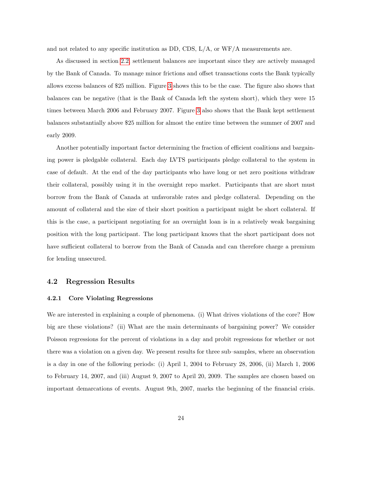and not related to any specific institution as DD, CDS,  $L/A$ , or  $WF/A$  measurements are.

As discussed in section [2.2,](#page-8-1) settlement balances are important since they are actively managed by the Bank of Canada. To manage minor frictions and offset transactions costs the Bank typically allows excess balances of \$25 million. Figure [3](#page-10-0) shows this to be the case. The figure also shows that balances can be negative (that is the Bank of Canada left the system short), which they were 15 times between March 2006 and February 2007. Figure [3](#page-10-0) also shows that the Bank kept settlement balances substantially above \$25 million for almost the entire time between the summer of 2007 and early 2009.

Another potentially important factor determining the fraction of efficient coalitions and bargaining power is pledgable collateral. Each day LVTS participants pledge collateral to the system in case of default. At the end of the day participants who have long or net zero positions withdraw their collateral, possibly using it in the overnight repo market. Participants that are short must borrow from the Bank of Canada at unfavorable rates and pledge collateral. Depending on the amount of collateral and the size of their short position a participant might be short collateral. If this is the case, a participant negotiating for an overnight loan is in a relatively weak bargaining position with the long participant. The long participant knows that the short participant does not have sufficient collateral to borrow from the Bank of Canada and can therefore charge a premium for lending unsecured.

#### 4.2 Regression Results

#### 4.2.1 Core Violating Regressions

We are interested in explaining a couple of phenomena. (i) What drives violations of the core? How big are these violations? (ii) What are the main determinants of bargaining power? We consider Poisson regressions for the percent of violations in a day and probit regressions for whether or not there was a violation on a given day. We present results for three sub–samples, where an observation is a day in one of the following periods: (i) April 1, 2004 to February 28, 2006, (ii) March 1, 2006 to February 14, 2007, and (iii) August 9, 2007 to April 20, 2009. The samples are chosen based on important demarcations of events. August 9th, 2007, marks the beginning of the financial crisis.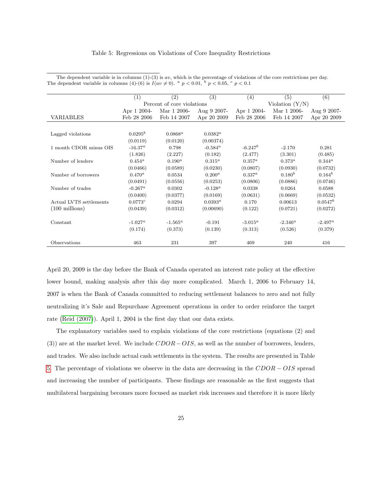|                          | (1)             | $\left( 2\right)$          | (3)               | (4)               | (5)         | (6)         |  |
|--------------------------|-----------------|----------------------------|-------------------|-------------------|-------------|-------------|--|
|                          |                 | Percent of core violations |                   | Violation $(Y/N)$ |             |             |  |
|                          | Apr 1 2004-     | Mar 1 2006-                | Aug $9\,2007$ -   | Apr 1 2004-       | Mar 1 2006- | Aug 9 2007- |  |
| VARIABLES                | Feb 28 2006     | Feb 14 2007                | Apr 20 2009       | Feb 28 2006       | Feb 14 2007 | Apr 20 2009 |  |
|                          |                 |                            |                   |                   |             |             |  |
| Lagged violations        | $0.0295^b$      | $0.0868^a$                 | $0.0382^a$        |                   |             |             |  |
|                          | (0.0119)        | (0.0120)                   | (0.00374)         |                   |             |             |  |
| 1 month CDOR minus OIS   | $-16.37^{a}$    | 0.798                      | $-0.584^{\alpha}$ | $-6.247b$         | $-2.170$    | 0.281       |  |
|                          | (1.826)         | (2.227)                    | (0.182)           | (2.477)           | (3.301)     | (0.485)     |  |
| Number of lenders        | $0.454^{\rm a}$ | $0.190^{a}$                | $0.315^a$         | $0.357^a$         | $0.373^{a}$ | $0.344^a$   |  |
|                          | (0.0466)        | (0.0589)                   | (0.0230)          | (0.0807)          | (0.0930)    | (0.0732)    |  |
| Number of borrowers      | $0.470^{a}$     | 0.0534                     | $0.200^{a}$       | $0.337^{a}$       | $0.180^{b}$ | $0.164^{b}$ |  |
|                          | (0.0491)        | (0.0556)                   | (0.0253)          | (0.0806)          | (0.0886)    | (0.0746)    |  |
| Number of trades         | $-0.267^a$      | 0.0302                     | $-0.128^a$        | 0.0338            | 0.0264      | 0.0588      |  |
|                          | (0.0400)        | (0.0377)                   | (0.0169)          | (0.0631)          | (0.0669)    | (0.0532)    |  |
| Actual LVTS settlements  | 0.0773c         | 0.0294                     | $0.0393^a$        | 0.170             | 0.00613     | $0.0547^b$  |  |
| $(100 \text{ millions})$ | (0.0439)        | (0.0312)                   | (0.00690)         | (0.122)           | (0.0721)    | (0.0272)    |  |
|                          |                 |                            |                   |                   |             |             |  |
| Constant                 | $-1.027^a$      | $-1.565^a$                 | $-0.191$          | $-3.015^a$        | $-2.346^a$  | $-2.497^a$  |  |
|                          | (0.174)         | (0.373)                    | (0.139)           | (0.313)           | (0.526)     | (0.379)     |  |
| Observations             | 463             | 231                        | 397               | 469               | 240         | 416         |  |

<span id="page-25-0"></span>The dependent variable is in columns  $(1)-(3)$  is av, which is the percentage of violations of the core restrictions per day. The dependent variable in columns (4)-(6) is  $I(av \neq 0)$ .  $a \neq 0.01$ ,  $b \neq 0.05$ ,  $c \neq 0.1$ 

April 20, 2009 is the day before the Bank of Canada operated an interest rate policy at the effective lower bound, making analysis after this day more complicated. March 1, 2006 to February 14, 2007 is when the Bank of Canada committed to reducing settlement balances to zero and not fully neutralizing it's Sale and Repurchase Agreement operations in order to order reinforce the target rate [\(Reid \(2007\)](#page-37-11)). April 1, 2004 is the first day that our data exists.

The explanatory variables used to explain violations of the core restrictions (equations (2) and (3)) are at the market level. We include  $CDOR - OIS$ , as well as the number of borrowers, lenders, and trades. We also include actual cash settlements in the system. The results are presented in Table [5.](#page-25-0) The percentage of violations we observe in the data are decreasing in the CDOR − OIS spread and increasing the number of participants. These findings are reasonable as the first suggests that multilateral bargaining becomes more focused as market risk increases and therefore it is more likely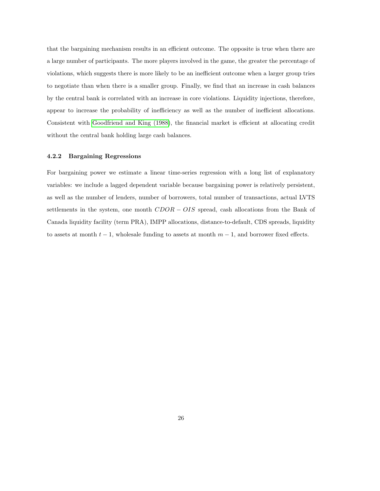that the bargaining mechanism results in an efficient outcome. The opposite is true when there are a large number of participants. The more players involved in the game, the greater the percentage of violations, which suggests there is more likely to be an inefficient outcome when a larger group tries to negotiate than when there is a smaller group. Finally, we find that an increase in cash balances by the central bank is correlated with an increase in core violations. Liquidity injections, therefore, appear to increase the probability of inefficiency as well as the number of inefficient allocations. Consistent with [Goodfriend and King \(1988\)](#page-37-4), the financial market is efficient at allocating credit without the central bank holding large cash balances.

#### 4.2.2 Bargaining Regressions

For bargaining power we estimate a linear time-series regression with a long list of explanatory variables: we include a lagged dependent variable because bargaining power is relatively persistent, as well as the number of lenders, number of borrowers, total number of transactions, actual LVTS settlements in the system, one month  $CDOR - OIS$  spread, cash allocations from the Bank of Canada liquidity facility (term PRA), IMPP allocations, distance-to-default, CDS spreads, liquidity to assets at month  $t - 1$ , wholesale funding to assets at month  $m - 1$ , and borrower fixed effects.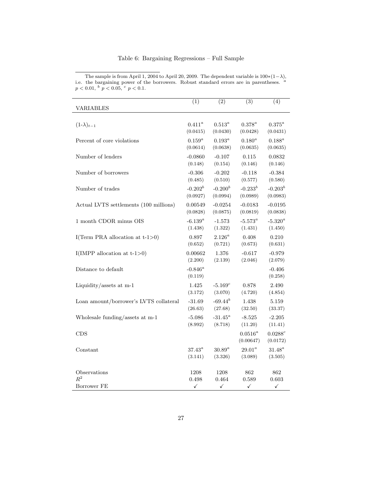|                                        | $\overline{(1)}$      | $\overline{(2)}$ | $\overline{(3)}$        | $\overline{(4)}$       |
|----------------------------------------|-----------------------|------------------|-------------------------|------------------------|
| <b>VARIABLES</b>                       |                       |                  |                         |                        |
| $(1-\lambda)_{t-1}$                    | $0.411^a$             | $0.513^a$        | $0.378^a$               | $0.375^{a}$            |
|                                        | (0.0415)              | (0.0430)         | (0.0428)                | (0.0431)               |
| Percent of core violations             | $0.159^{a}$           | $0.193^{a}$      | $0.180^{a}$             | $0.188^a$              |
|                                        | (0.0614)              | (0.0638)         | (0.0635)                | (0.0635)               |
| Number of lenders                      | $-0.0860$             | $-0.107$         | 0.115                   | 0.0832                 |
|                                        | (0.148)               | (0.154)          | (0.146)                 | (0.146)                |
| Number of borrowers                    | $-0.306$              | $-0.202$         | $-0.118$                | $-0.384$               |
|                                        | (0.485)               | (0.510)          | (0.577)                 | (0.580)                |
| Number of trades                       | $-0.202^b$            | $-0.200^{b}$     | $-0.233^{b}$            | $-0.203^{b}$           |
|                                        | (0.0927)              | (0.0994)         | (0.0989)                | (0.0983)               |
| Actual LVTS settlements (100 millions) | 0.00549               | $-0.0254$        | $-0.0183$               | $-0.0195$              |
|                                        | (0.0828)              | (0.0875)         | (0.0819)                | (0.0838)               |
| 1 month CDOR minus OIS                 | $-6.139^a$            | $-1.573$         | $-5.573^a$              | $-5.320^a$             |
|                                        | (1.438)               | (1.322)          | (1.431)                 | (1.450)                |
| I(Term PRA allocation at $t-1>0$ )     | 0.897                 | $2.126^a$        | 0.408                   | 0.210                  |
|                                        | (0.652)               | (0.721)          | (0.673)                 | (0.631)                |
| I(IMPP allocation at $t-1>0$ )         | 0.00662               | 1.376            | $-0.617$                | $-0.979$               |
|                                        | (2.200)               | (2.139)          | (2.046)                 | (2.079)                |
| Distance to default                    | $-0.846^a$<br>(0.119) |                  |                         | $-0.406$<br>(0.258)    |
| Liquidity/assets at m-1                | 1.425                 | $-5.169c$        | 0.878                   | 2.490                  |
|                                        | (3.172)               | (3.070)          | (4.720)                 | (4.854)                |
| Loan amount/borrower's LVTS collateral | $-31.69$              | $-69.44^{b}$     | 1.438                   | 5.159                  |
|                                        | (26.63)               | (27.68)          | (32.50)                 | (33.37)                |
| Wholesale funding/assets at m-1        | $-5.086$              | $-31.45^a$       | $-8.525$                | $-2.205$               |
|                                        | (8.992)               | (8.718)          | (11.20)                 | (11.41)                |
| <b>CDS</b>                             |                       |                  | $0.0516^a$<br>(0.00647) | $0.0288^c$<br>(0.0172) |
| Constant                               | $37.43^a$             | $30.89^a$        | $29.01^a$               | $31.48^a$              |
|                                        | (3.141)               | (3.326)          | (3.089)                 | (3.505)                |
| Observations                           | 1208                  | 1208             | 862                     | 862                    |
| $R^2$                                  | 0.498                 | 0.464            | 0.589                   | 0.603                  |
| Borrower FE                            | ✓                     | ✓                | ✓                       | ✓                      |

<span id="page-27-0"></span>The sample is from April 1, 2004 to April 20, 2009. The dependent variable is  $100*(1-\lambda)$ , i.e. the bargaining power of the borrowers. Robust standard errors are in parentheses. <sup>a</sup>  $p < 0.01$ ,  $\frac{b}{p} < 0.05$ ,  $\frac{c}{p} < 0.1$ .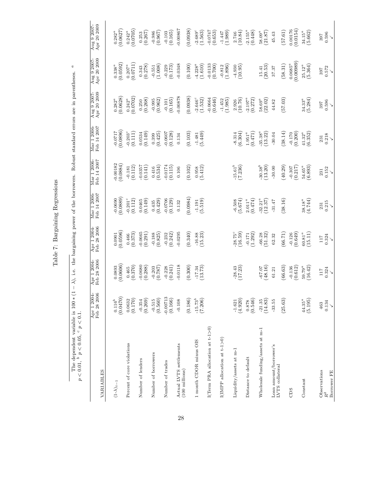Table 7: Bargaining Regressions Table 7: Bargaining Regressions The dependent variable is 100  $*(1 - \lambda)$ , i.e. the bargaining power of the borrowers. Robust standard errors are in parentheses. <sup>a</sup>  $p < 0.01$ , <sup>b</sup>  $p < 0.05$ , <sup>c</sup>  $p < 0.1$ . The dependent variable is 100 ∗ (1 − λ), i.e. the bargaining power of the borrowers. Robust standard errors are in parentheses. a  $p < 0.01$ ,  $^{b} p < 0.05$ ,  $^{c} p < 0.1$ .

| VARIABLES                                           | Apr 1 2004-<br>Feb 28 2006 | Feb 28 2006<br>Apr 1 2004- | Feb 28 2006<br>Apr 1 2004 | Mar 1 2006-<br>Feb 14 2007       | Feb 14 2007<br>Mar 1 2006- | Mar 1 2006<br>Feb 14 2007 | Apr 20 2009<br>Aug 9 2007- | Aug 9 2007-<br>Apr 20 $2009$ | Apr 20 2009<br>Aug 9 2007- |
|-----------------------------------------------------|----------------------------|----------------------------|---------------------------|----------------------------------|----------------------------|---------------------------|----------------------------|------------------------------|----------------------------|
| $(1-\lambda)_{t-1}$                                 | (0.0470)<br>$0.116^{b}$    | 0.0606<br>0.0893           | (0.0901)                  | 0.0889<br>$-0.0690$              | $-0.00182$<br>(0.0884)     | 0.0896<br>$-0.0717$       | $\frac{0.282^a}{(0.0628)}$ | (0.0592)<br>$0.338^{a}$      | (0.0627)<br>$0.282^{a}$    |
| Percent of core violations                          | (0.170)<br>0.0632          | (0.370)<br>0.465           | (0.373)<br>0.466          | $-0.201$ <sup>c</sup><br>(0.112) | (0.112)<br>$-0.181$        | $-0.203^c$<br>(0.111)     | (0.0702)<br>$0.242^a$      | (0.0711)<br>$0.207^a$        | (0.0705)<br>$0.242^a$      |
| Number of lenders                                   | (0.269)<br>$-0.354$        | $-0.0680$<br>(0.288)       | 0.0665<br>(0.291)         | (0.149)<br>0.0465                | $-0.0357$<br>(0.141)       | (0.149)<br>0.0534         | (0.268)<br>0.250           | (0.278)<br>0.343             | (0.267)<br>0.253           |
| Number of borrowers                                 | (0.560)<br>$-0.515$        | (787)<br>$-0.203$          | (0.825)<br>$-0.188$       | (0.429)<br>0.435                 | (0.534)<br>0.416           | (0.425)<br>0.399          | (0.962)<br>$-0.995$        | (1.008)<br>$-0.551$          | (0.967)<br>$-0.986$        |
| Number of trades                                    | $-0.00713$<br>(0.166)      | (0.241)<br>$-0.228$        | (0.242)<br>$-0.232$       | $-0.0706$<br>(0.129)             | $-0.0174$<br>(0.115)       | 0.0607<br>(0.128)         | (0.165)<br>$-0.101$        | (0.173)<br>$-0.229$          | (0.165)<br>$-0.103$        |
| Actual LVTS settlements<br>$(100 \text{ millions})$ | $-0.108$                   | 0.0118                     | 0.0295                    | 0.132                            | 0.106                      | 0.134                     | 0.00878                    | $-0.0348$                    | 0.00867                    |
|                                                     | (0.186)                    | (0.300)                    | (0.340)                   | (1.0984)                         | (0.102)                    | (0.103)                   | (0.0938)                   | (0.100)                      | (0.0938)                   |
| 1 month CDOR minus OIS                              | $-15.73^{b}$<br>(7.206)    | (13.73)<br>$-17.34$        | (15.23)<br>$-16.88$       | (5.519)<br>$-1.191$              | $\binom{0.958}{5.412}$     | (5.449)<br>$-1.481$       | $-2.646°$<br>(1.532)       | $4.228^{a}$<br>(1.610)       | $-2.689^c$<br>(1.563)      |
| I(Term PRA allocation at $t-1>0$ )                  |                            |                            |                           |                                  |                            |                           | $-0.0664$<br>(0.646)       | $-0.0133$<br>(0.700)         | (0.653)                    |
| I(IMPP allocation at $t-1>0$ )                      |                            |                            |                           |                                  |                            |                           | (1.985)<br>$-1.452$        | (1.896)<br>$-0.812$          | (1.989)<br>$-1.447$        |
| Liquidity/assets at m-1                             | (4.920)<br>$-1.621$        | $-28.43$<br>(17.23)        | $-28.75^c$<br>(16.59)     | (5.674)<br>$-6.508$              | $\frac{-15.61^b}{(7.236)}$ | (6.304)<br>$-8.314$       | (10.76)<br>2.926           | $-4.930$<br>(10.95)          | (10.84)<br>2.746           |
| Distance to default                                 | (0.546)                    |                            | (1.292)<br>$-0.171$       | (0.474)<br>$2.011^{a}$           |                            | (0.471)<br>$1.951^{a}$    | $-2.197^a$<br>(0.272)      |                              | $-2.155^a$<br>(0.448)      |
| Wholesale funding/assets at m-1                     | (14.83)<br>$-21.35$        | (48.16)<br>$-67.07$        | (51.32)<br>$-66.28$       | $32.21^a$<br>(12.37)             | $-30.38^{b}$<br>(13.20)    | $-35.38^{a}$<br>(13.22)   | (22.02)<br>$58.69^a$       | (20.53)<br>15.41             | $58.09^a$<br>(21.87)       |
| Loan amount/borrower's<br>LVTS collateral           | $-33.55$                   | 61.21                      | 62.32                     | $-31.47$                         | $-30.00$                   | $-30.04$                  | 44.82                      | 37.37                        | 45.43                      |
|                                                     | (25.63)                    | (66.63)                    | (66.71)                   | (38.16)                          | (40.29)                    | (38.14)                   | (57.03)                    | (58.31)                      | (57.61)                    |
| CDS                                                 |                            | (0.612)<br>$-0.136$        | (0.649)<br>$-0.126$       |                                  | (0.217)<br>$-0.307$        | (0.200)<br>$-0.170$       |                            | (0.00989)<br>$0.0685^{a}$    | (0.0154)<br>0.00176        |
| Constant                                            | (5.195)<br>$44.35^a$       | $59.79^{a}$<br>(16.42)     | $60.81^{a}$<br>(15.11)    | (4.744)<br>$38.18^{a}$           | $54.65^a$<br>(6.893)       | (6.352)<br>$41.32^a$      | (5.284)<br>$34.33^a$       | (5.364)<br>$25.12^{\,a}$     | (5.662)<br>$34.15^{a}$     |
| Observations                                        | 463                        | <b>117</b>                 | 117                       | 231                              | 231                        | 231                       | 397                        | 397                          | 397                        |
| Borrower FE                                         | 0.134                      | 0.324<br>↘                 | 0.324<br>↘                | 0.215<br>$\checkmark$            | 0.152<br>↘                 | 0.218<br>$\checkmark$     | 0.596<br>$\checkmark$      | 0.572<br>$\checkmark$        | 0.596<br>↘                 |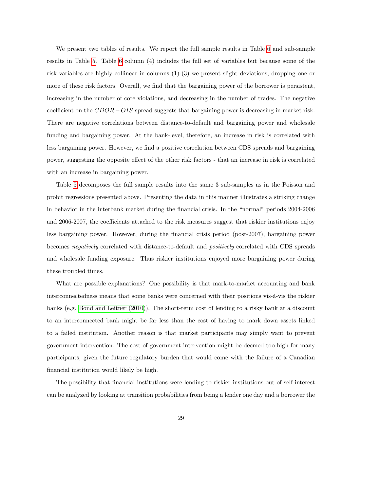We present two tables of results. We report the full sample results in Table [6](#page-27-0) and sub-sample results in Table [5.](#page-31-0) Table [6](#page-27-0) column (4) includes the full set of variables but because some of the risk variables are highly collinear in columns (1)-(3) we present slight deviations, dropping one or more of these risk factors. Overall, we find that the bargaining power of the borrower is persistent, increasing in the number of core violations, and decreasing in the number of trades. The negative coefficient on the  $CDOR - OIS$  spread suggests that bargaining power is decreasing in market risk. There are negative correlations between distance-to-default and bargaining power and wholesale funding and bargaining power. At the bank-level, therefore, an increase in risk is correlated with less bargaining power. However, we find a positive correlation between CDS spreads and bargaining power, suggesting the opposite effect of the other risk factors - that an increase in risk is correlated with an increase in bargaining power.

Table [5](#page-31-0) decomposes the full sample results into the same 3 sub-samples as in the Poisson and probit regressions presented above. Presenting the data in this manner illustrates a striking change in behavior in the interbank market during the financial crisis. In the "normal" periods 2004-2006 and 2006-2007, the coefficients attached to the risk measures suggest that riskier institutions enjoy less bargaining power. However, during the financial crisis period (post-2007), bargaining power becomes negatively correlated with distance-to-default and positively correlated with CDS spreads and wholesale funding exposure. Thus riskier institutions enjoyed more bargaining power during these troubled times.

What are possible explanations? One possibility is that mark-to-market accounting and bank interconnectedness means that some banks were concerned with their positions vis- $\acute{a}$ -vis the riskier banks (e.g. [Bond and Leitner \(2010\)](#page-36-9)). The short-term cost of lending to a risky bank at a discount to an interconnected bank might be far less than the cost of having to mark down assets linked to a failed institution. Another reason is that market participants may simply want to prevent government intervention. The cost of government intervention might be deemed too high for many participants, given the future regulatory burden that would come with the failure of a Canadian financial institution would likely be high.

The possibility that financial institutions were lending to riskier institutions out of self-interest can be analyzed by looking at transition probabilities from being a lender one day and a borrower the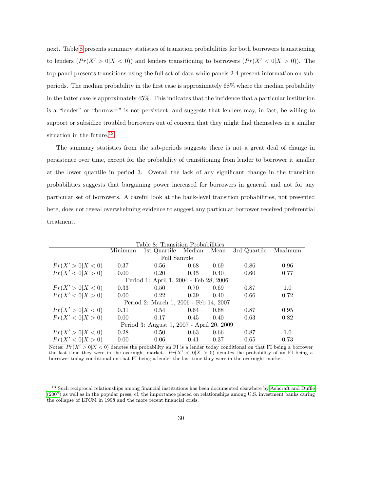next. Table [8](#page-30-0) presents summary statistics of transition probabilities for both borrowers transitioning to lenders  $(Pr(X' > 0|X < 0))$  and lenders transitioning to borrowers  $(Pr(X' < 0|X > 0))$ . The top panel presents transitions using the full set of data while panels 2-4 present information on subperiods. The median probability in the first case is approximately 68% where the median probability in the latter case is approximately 45%. This indicates that the incidence that a particular institution is a "lender" or "borrower" is not persistent, and suggests that lenders may, in fact, be willing to support or subsidize troubled borrowers out of concern that they might find themselves in a similar situation in the future.<sup>[13](#page-30-1)</sup>

The summary statistics from the sub-periods suggests there is not a great deal of change in persistence over time, except for the probability of transitioning from lender to borrower it smaller at the lower quantile in period 3. Overall the lack of any significant change in the transition probabilities suggests that bargaining power increased for borrowers in general, and not for any particular set of borrowers. A careful look at the bank-level transition probabilities, not presented here, does not reveal overwhelming evidence to suggest any particular borrower received preferential treatment.

<span id="page-30-0"></span>

| Table 8: Transition Probabilities         |         |                                        |        |      |              |         |  |  |  |
|-------------------------------------------|---------|----------------------------------------|--------|------|--------------|---------|--|--|--|
|                                           | Minimum | 1st Quartile                           | Median | Mean | 3rd Quartile | Maximum |  |  |  |
|                                           |         | Full Sample                            |        |      |              |         |  |  |  |
| Pr(X' > 0   X < 0)                        | 0.37    | 0.56                                   | 0.68   | 0.69 | 0.86         | 0.96    |  |  |  |
| Pr(X' < 0 X > 0)                          | 0.00    | 0.20                                   | 0.45   | 0.40 | 0.60         | 0.77    |  |  |  |
|                                           |         | Period 1: April 1, 2004 - Feb 28, 2006 |        |      |              |         |  |  |  |
| Pr(X' > 0   X < 0)                        | 0.33    | 0.50                                   | 0.70   | 0.69 | 0.87         | 1.0     |  |  |  |
| Pr(X' < 0 X > 0)                          | 0.00    | 0.22                                   | 0.39   | 0.40 | 0.66         | 0.72    |  |  |  |
| Period 2: March 1, 2006 - Feb 14, 2007    |         |                                        |        |      |              |         |  |  |  |
| Pr(X' > 0   X < 0)                        | 0.31    | 0.54                                   | 0.64   | 0.68 | 0.87         | 0.95    |  |  |  |
| Pr(X' < 0 X > 0)                          | 0.00    | 0.17                                   | 0.45   | 0.40 | 0.63         | 0.82    |  |  |  |
| Period 3: August 9, 2007 - April 20, 2009 |         |                                        |        |      |              |         |  |  |  |
| Pr(X' > 0   X < 0)                        | 0.28    | 0.50                                   | 0.63   | 0.66 | 0.87         | 1.0     |  |  |  |
| Pr(X' < 0 X > 0)                          | 0.00    | 0.06                                   | 0.41   | 0.37 | 0.65         | 0.73    |  |  |  |

Notes:  $Pr(X' > 0|X < 0)$  denotes the probability an FI is a lender today conditional on that FI being a borrower the last time they were in the overnight market.  $Pr(X' < 0|X > 0)$  denotes the probability of an FI being a borrower today conditional on that FI being a lender the last time they were in the overnight market.

<span id="page-30-1"></span><sup>&</sup>lt;sup>13</sup> Such reciprocal relationships among financial institutions has been documented elsewhere by [Ashcraft and Duffie](#page-36-12) [\(2007\)](#page-36-12) as well as in the popular press, cf, the importance placed on relationships among U.S. investment banks during the collapse of LTCM in 1998 and the more recent financial crisis.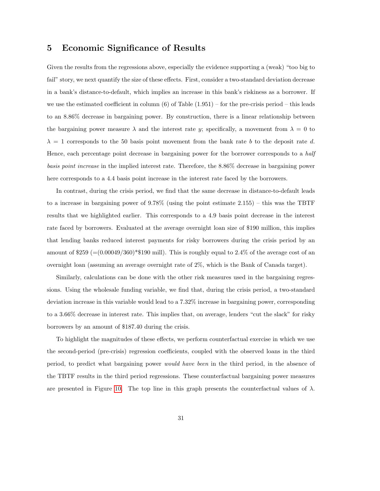# <span id="page-31-0"></span>5 Economic Significance of Results

Given the results from the regressions above, especially the evidence supporting a (weak) "too big to fail" story, we next quantify the size of these effects. First, consider a two-standard deviation decrease in a bank's distance-to-default, which implies an increase in this bank's riskiness as a borrower. If we use the estimated coefficient in column  $(6)$  of Table  $(1.951)$  – for the pre-crisis period – this leads to an 8.86% decrease in bargaining power. By construction, there is a linear relationship between the bargaining power measure  $\lambda$  and the interest rate y; specifically, a movement from  $\lambda = 0$  to  $\lambda = 1$  corresponds to the 50 basis point movement from the bank rate b to the deposit rate d. Hence, each percentage point decrease in bargaining power for the borrower corresponds to a half basis point increase in the implied interest rate. Therefore, the 8.86% decrease in bargaining power here corresponds to a 4.4 basis point increase in the interest rate faced by the borrowers.

In contrast, during the crisis period, we find that the same decrease in distance-to-default leads to a increase in bargaining power of 9.78% (using the point estimate 2.155) – this was the TBTF results that we highlighted earlier. This corresponds to a 4.9 basis point decrease in the interest rate faced by borrowers. Evaluated at the average overnight loan size of \$190 million, this implies that lending banks reduced interest payments for risky borrowers during the crisis period by an amount of  $$259$  (=(0.00049/360)\*\$190 mill). This is roughly equal to 2.4% of the average cost of an overnight loan (assuming an average overnight rate of 2%, which is the Bank of Canada target).

Similarly, calculations can be done with the other risk measures used in the bargaining regressions. Using the wholesale funding variable, we find that, during the crisis period, a two-standard deviation increase in this variable would lead to a 7.32% increase in bargaining power, corresponding to a 3.66% decrease in interest rate. This implies that, on average, lenders "cut the slack" for risky borrowers by an amount of \$187.40 during the crisis.

To highlight the magnitudes of these effects, we perform counterfactual exercise in which we use the second-period (pre-crisis) regression coefficients, coupled with the observed loans in the third period, to predict what bargaining power would have been in the third period, in the absence of the TBTF results in the third period regressions. These counterfactual bargaining power measures are presented in Figure [10.](#page-32-0) The top line in this graph presents the counterfactual values of  $\lambda$ .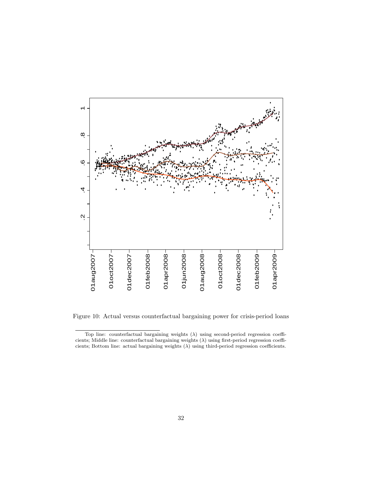

<span id="page-32-0"></span>Figure 10: Actual versus counterfactual bargaining power for crisis-period loans

Top line: counterfactual bargaining weights  $(\lambda)$  using second-period regression coefficients; Middle line: counterfactual bargaining weights  $(\lambda)$  using first-period regression coefficients; Bottom line: actual bargaining weights (λ) using third-period regression coefficients.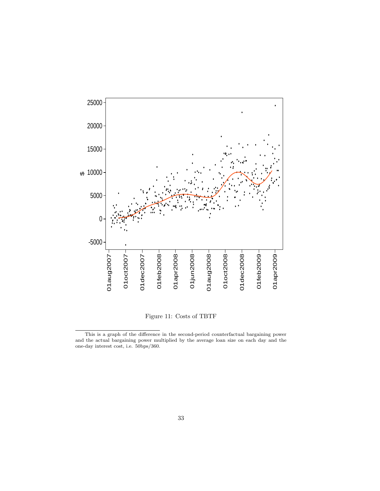

<span id="page-33-0"></span>Figure 11: Costs of TBTF

This is a graph of the difference in the second-period counterfactual bargaining power and the actual bargaining power multiplied by the average loan size on each day and the one-day interest cost, i.e. 50bps/360.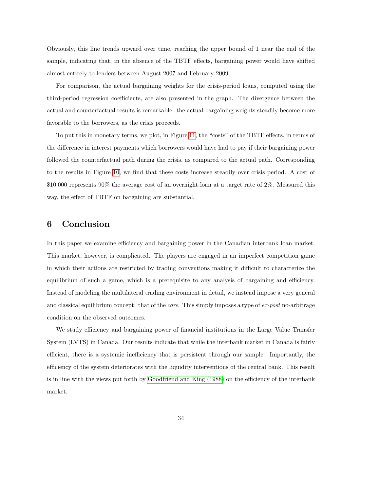Obviously, this line trends upward over time, reaching the upper bound of 1 near the end of the sample, indicating that, in the absence of the TBTF effects, bargaining power would have shifted almost entirely to lenders between August 2007 and February 2009.

For comparison, the actual bargaining weights for the crisis-period loans, computed using the third-period regression coefficients, are also presented in the graph. The divergence between the actual and counterfactual results is remarkable: the actual bargaining weights steadily become more favorable to the borrowers, as the crisis proceeds.

To put this in monetary terms, we plot, in Figure [11,](#page-33-0) the "costs" of the TBTF effects, in terms of the difference in interest payments which borrowers would have had to pay if their bargaining power followed the counterfactual path during the crisis, as compared to the actual path. Corresponding to the results in Figure [10,](#page-32-0) we find that these costs increase steadily over crisis period. A cost of \$10,000 represents 90% the average cost of an overnight loan at a target rate of 2%. Measured this way, the effect of TBTF on bargaining are substantial.

# <span id="page-34-0"></span>6 Conclusion

In this paper we examine efficiency and bargaining power in the Canadian interbank loan market. This market, however, is complicated. The players are engaged in an imperfect competition game in which their actions are restricted by trading conventions making it difficult to characterize the equilibrium of such a game, which is a prerequisite to any analysis of bargaining and efficiency. Instead of modeling the multilateral trading environment in detail, we instead impose a very general and classical equilibrium concept: that of the *core*. This simply imposes a type of ex-post no-arbitrage condition on the observed outcomes.

We study efficiency and bargaining power of financial institutions in the Large Value Transfer System (LVTS) in Canada. Our results indicate that while the interbank market in Canada is fairly efficient, there is a systemic inefficiency that is persistent through our sample. Importantly, the efficiency of the system deteriorates with the liquidity interventions of the central bank. This result is in line with the views put forth by [Goodfriend and King \(1988\)](#page-37-4) on the efficiency of the interbank market.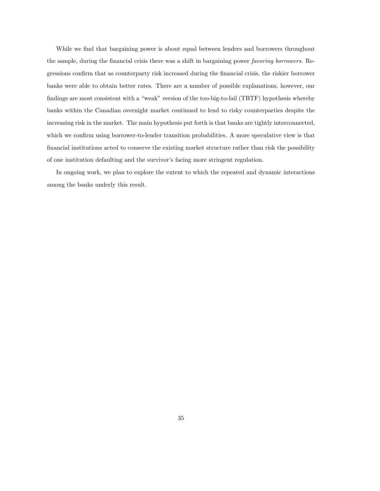While we find that bargaining power is about equal between lenders and borrowers throughout the sample, during the financial crisis there was a shift in bargaining power favoring borrowers. Regressions confirm that as counterparty risk increased during the financial crisis, the riskier borrower banks were able to obtain better rates. There are a number of possible explanations, however, our findings are most consistent with a "weak" version of the too-big-to-fail (TBTF) hypothesis whereby banks within the Canadian overnight market continued to lend to risky counterparties despite the increasing risk in the market. The main hypothesis put forth is that banks are tightly interconnected, which we confirm using borrower-to-lender transition probabilities. A more speculative view is that financial institutions acted to conserve the existing market structure rather than risk the possibility of one institution defaulting and the survivor's facing more stringent regulation.

In ongoing work, we plan to explore the extent to which the repeated and dynamic interactions among the banks underly this result.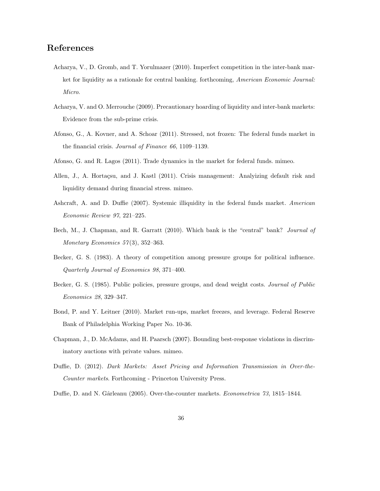# References

- <span id="page-36-6"></span>Acharya, V., D. Gromb, and T. Yorulmazer (2010). Imperfect competition in the inter-bank market for liquidity as a rationale for central banking. forthcoming, American Economic Journal: Micro.
- <span id="page-36-10"></span>Acharya, V. and O. Merrouche (2009). Precautionary hoarding of liquidity and inter-bank markets: Evidence from the sub-prime crisis.
- <span id="page-36-11"></span>Afonso, G., A. Kovner, and A. Schoar (2011). Stressed, not frozen: The federal funds market in the financial crisis. Journal of Finance 66, 1109–1139.
- <span id="page-36-4"></span><span id="page-36-0"></span>Afonso, G. and R. Lagos (2011). Trade dynamics in the market for federal funds. mimeo.
- Allen, J., A. Hortaçsu, and J. Kastl (2011). Crisis management: Analyizing default risk and liquidity demand during financial stress. mimeo.
- <span id="page-36-12"></span>Ashcraft, A. and D. Duffie (2007). Systemic illiquidity in the federal funds market. American Economic Review 97, 221–225.
- <span id="page-36-3"></span>Bech, M., J. Chapman, and R. Garratt (2010). Which bank is the "central" bank? Journal of Monetary Economics  $57(3)$ , 352-363.
- <span id="page-36-7"></span>Becker, G. S. (1983). A theory of competition among pressure groups for political influence. Quarterly Journal of Economics 98, 371–400.
- <span id="page-36-8"></span>Becker, G. S. (1985). Public policies, pressure groups, and dead weight costs. Journal of Public Economics 28, 329–347.
- <span id="page-36-9"></span>Bond, P. and Y. Leitner (2010). Market run-ups, market freezes, and leverage. Federal Reserve Bank of Philadelphia Working Paper No. 10-36.
- <span id="page-36-2"></span>Chapman, J., D. McAdams, and H. Paarsch (2007). Bounding best-response violations in discriminatory auctions with private values. mimeo.
- <span id="page-36-5"></span>Duffie, D. (2012). Dark Markets: Asset Pricing and Information Transmission in Over-the-Counter markets. Forthcoming - Princeton University Press.
- <span id="page-36-1"></span>Duffie, D. and N. Gârleanu (2005). Over-the-counter markets. *Econometrica* 73, 1815–1844.